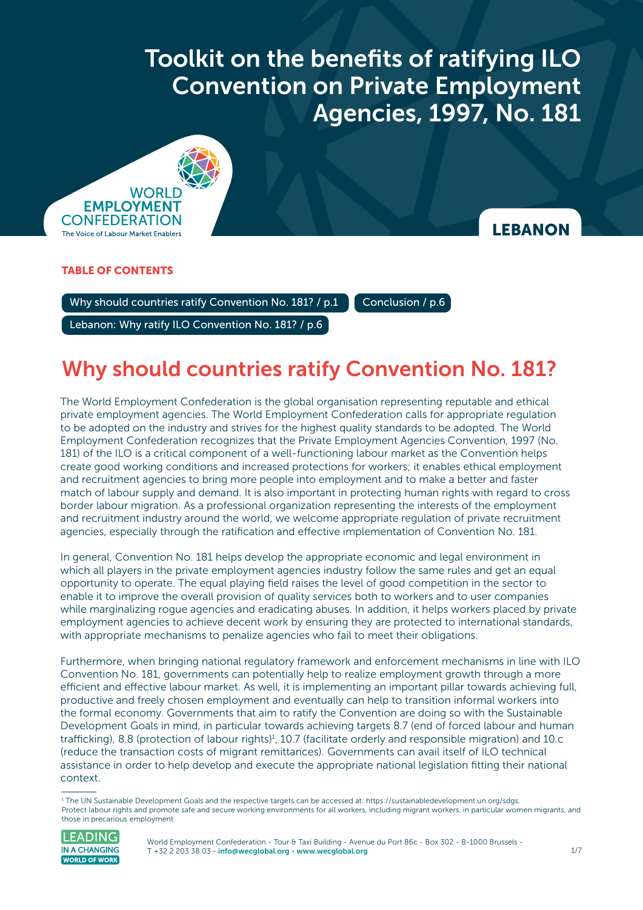Toolkit on the benefits of ratifying ILO Convention on Private Employment Agencies, 1997 **Convention on Private Employment** Toolkit on the benefits of ratifying ILO Agencies, 1997, No. 181



### **LEBANON**

### TABLE OF CONTENTS

Why should countries ratify Convention No. 181? / p.1  $\blacksquare$  [Conclusion / p.6](#page-5-0)

[Lebanon: Why ratify ILO Convention No. 181? / p.6](#page-5-0) 

## Why should countries ratify Convention No. 181?

The World Employment Confederation is the global organisation representing reputable and ethical private employment agencies. The World Employment Confederation calls for appropriate regulation to be adopted on the industry and strives for the highest quality standards to be adopted. The World Employment Confederation recognizes that the Private Employment Agencies Convention, 1997 (No. 181) of the ILO is a critical component of a well-functioning labour market as the Convention helps create good working conditions and increased protections for workers; it enables ethical employment and recruitment agencies to bring more people into employment and to make a better and faster match of labour supply and demand. It is also important in protecting human rights with regard to cross border labour migration. As a professional organization representing the interests of the employment and recruitment industry around the world, we welcome appropriate regulation of private recruitment agencies, especially through the ratification and effective implementation of Convention No. 181.

In general, Convention No. 181 helps develop the appropriate economic and legal environment in which all players in the private employment agencies industry follow the same rules and get an equal opportunity to operate. The equal playing field raises the level of good competition in the sector to enable it to improve the overall provision of quality services both to workers and to user companies while marginalizing rogue agencies and eradicating abuses. In addition, it helps workers placed by private employment agencies to achieve decent work by ensuring they are protected to international standards, with appropriate mechanisms to penalize agencies who fail to meet their obligations.

Furthermore, when bringing national regulatory framework and enforcement mechanisms in line with ILO Convention No. 181, governments can potentially help to realize employment growth through a more efficient and effective labour market. As well, it is implementing an important pillar towards achieving full, productive and freely chosen employment and eventually can help to transition informal workers into the formal economy. Governments that aim to ratify the Convention are doing so with the Sustainable Development Goals in mind, in particular towards achieving targets 8.7 (end of forced labour and human trafficking), 8.8 (protection of labour rights)<sup>1</sup>, 10.7 (facilitate orderly and responsible migration) and 10.c (reduce the transaction costs of migrant remittances). Governments can avail itself of ILO technical assistance in order to help develop and execute the appropriate national legislation fitting their national context.

<sup>1</sup> The UN Sustainable Development Goals and the respective targets can be accessed at: <https://sustainabledevelopment.un.org/sdgs>. Protect labour rights and promote safe and secure working environments for all workers, including migrant workers, in particular women migrants, and those in precarious employment



World Employment Confederation - Tour & Taxi Building - Avenue du Port 86c - Box 302 - B-1000 Brussels -T +32 2 203 38 03 [- info@wecglobal.org](mailto:info%40wecglobal.org?subject=) - [www.wecglobal.org](http://www.wecglobal.org)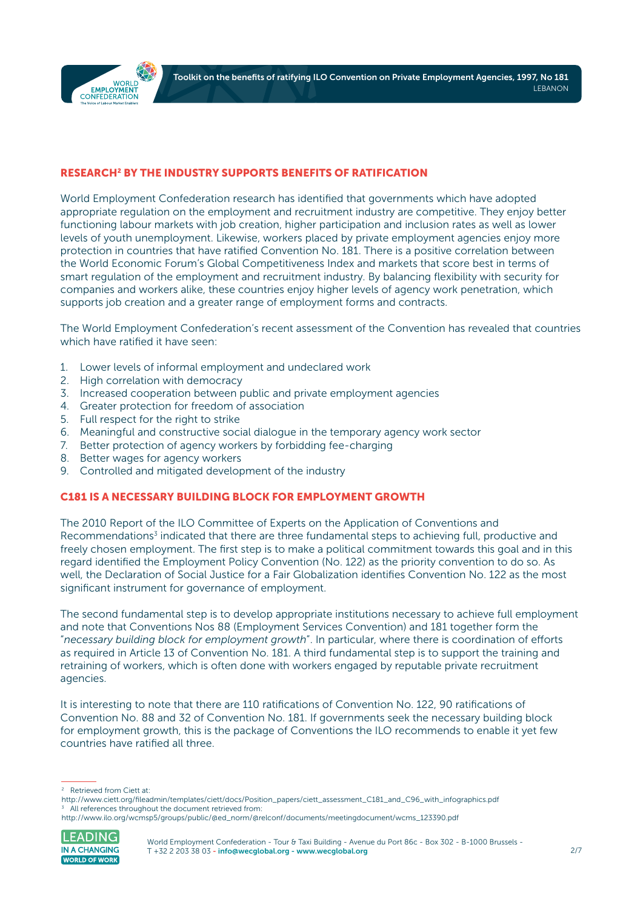

#### RESEARCH2 BY THE INDUSTRY SUPPORTS BENEFITS OF RATIFICATION

World Employment Confederation research has identified that governments which have adopted appropriate regulation on the employment and recruitment industry are competitive. They enjoy better functioning labour markets with job creation, higher participation and inclusion rates as well as lower levels of youth unemployment. Likewise, workers placed by private employment agencies enjoy more protection in countries that have ratified Convention No. 181. There is a positive correlation between the World Economic Forum's Global Competitiveness Index and markets that score best in terms of smart regulation of the employment and recruitment industry. By balancing flexibility with security for companies and workers alike, these countries enjoy higher levels of agency work penetration, which supports job creation and a greater range of employment forms and contracts.

The World Employment Confederation's recent assessment of the Convention has revealed that countries which have ratified it have seen:

- 1. Lower levels of informal employment and undeclared work
- 2. High correlation with democracy
- 3. Increased cooperation between public and private employment agencies
- 4. Greater protection for freedom of association
- 5. Full respect for the right to strike
- 6. Meaningful and constructive social dialogue in the temporary agency work sector
- 7. Better protection of agency workers by forbidding fee-charging
- 8. Better wages for agency workers
- 9. Controlled and mitigated development of the industry

#### C181 IS A NECESSARY BUILDING BLOCK FOR EMPLOYMENT GROWTH

The 2010 Report of the ILO Committee of Experts on the Application of Conventions and Recommendations<sup>3</sup> indicated that there are three fundamental steps to achieving full, productive and freely chosen employment. The first step is to make a political commitment towards this goal and in this regard identified the Employment Policy Convention (No. 122) as the priority convention to do so. As well, the Declaration of Social Justice for a Fair Globalization identifies Convention No. 122 as the most significant instrument for governance of employment.

The second fundamental step is to develop appropriate institutions necessary to achieve full employment and note that Conventions Nos 88 (Employment Services Convention) and 181 together form the "*necessary building block for employment growth*". In particular, where there is coordination of efforts as required in Article 13 of Convention No. 181. A third fundamental step is to support the training and retraining of workers, which is often done with workers engaged by reputable private recruitment agencies.

It is interesting to note that there are 110 ratifications of Convention No. 122, 90 ratifications of Convention No. 88 and 32 of Convention No. 181. If governments seek the necessary building block for employment growth, this is the package of Conventions the ILO recommends to enable it yet few countries have ratified all three.

[http://www.ilo.org/wcmsp5/groups/public/@ed\\_norm/@relconf/documents/meetingdocument/wcms\\_123390.pdf](http://www.ilo.org/wcmsp5/groups/public/@ed_norm/@relconf/documents/meetingdocument/wcms_123390.pdf)



<sup>2</sup> Retrieved from Ciett at:

[http://www.ciett.org/fileadmin/templates/ciett/docs/Position\\_papers/ciett\\_assessment\\_C181\\_and\\_C96\\_with\\_infographics.pdf](http://www.ciett.org/fileadmin/templates/ciett/docs/Position_papers/ciett_assessment_C181_and_C96_with_infographics.pdf) All references throughout the document retrieved from: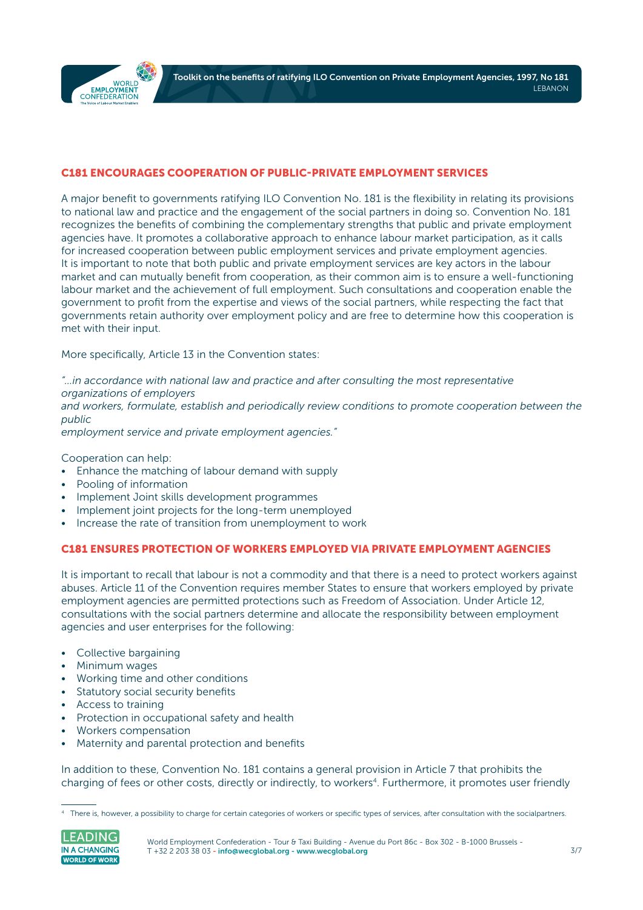

#### C181 ENCOURAGES COOPERATION OF PUBLIC-PRIVATE EMPLOYMENT SERVICES

A major benefit to governments ratifying ILO Convention No. 181 is the flexibility in relating its provisions to national law and practice and the engagement of the social partners in doing so. Convention No. 181 recognizes the benefits of combining the complementary strengths that public and private employment agencies have. It promotes a collaborative approach to enhance labour market participation, as it calls for increased cooperation between public employment services and private employment agencies. It is important to note that both public and private employment services are key actors in the labour market and can mutually benefit from cooperation, as their common aim is to ensure a well-functioning labour market and the achievement of full employment. Such consultations and cooperation enable the government to profit from the expertise and views of the social partners, while respecting the fact that governments retain authority over employment policy and are free to determine how this cooperation is met with their input.

More specifically, Article 13 in the Convention states:

*"…in accordance with national law and practice and after consulting the most representative organizations of employers*

*and workers, formulate, establish and periodically review conditions to promote cooperation between the public*

*employment service and private employment agencies."*

Cooperation can help:

- Enhance the matching of labour demand with supply
- Pooling of information
- Implement Joint skills development programmes
- Implement joint projects for the long-term unemployed
- Increase the rate of transition from unemployment to work

#### C181 ENSURES PROTECTION OF WORKERS EMPLOYED VIA PRIVATE EMPLOYMENT AGENCIES

It is important to recall that labour is not a commodity and that there is a need to protect workers against abuses. Article 11 of the Convention requires member States to ensure that workers employed by private employment agencies are permitted protections such as Freedom of Association. Under Article 12, consultations with the social partners determine and allocate the responsibility between employment agencies and user enterprises for the following:

- Collective bargaining
- Minimum wages
- Working time and other conditions
- Statutory social security benefits
- Access to training
- Protection in occupational safety and health
- Workers compensation
- Maternity and parental protection and benefits

In addition to these, Convention No. 181 contains a general provision in Article 7 that prohibits the charging of fees or other costs, directly or indirectly, to workers<sup>4</sup>. Furthermore, it promotes user friendly

<sup>4</sup> There is, however, a possibility to charge for certain categories of workers or specific types of services, after consultation with the socialpartners.

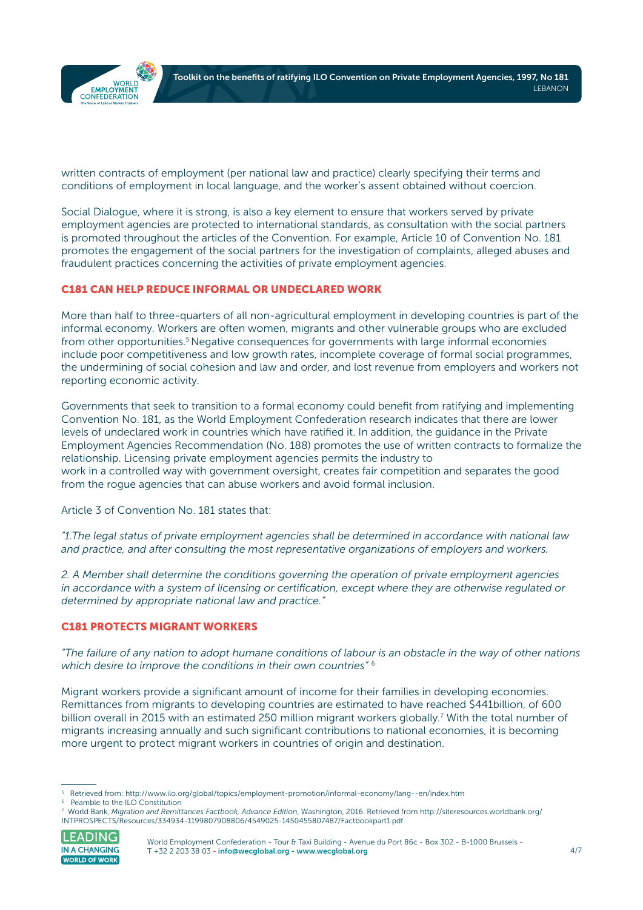

written contracts of employment (per national law and practice) clearly specifying their terms and conditions of employment in local language, and the worker's assent obtained without coercion.

Social Dialogue, where it is strong, is also a key element to ensure that workers served by private employment agencies are protected to international standards, as consultation with the social partners is promoted throughout the articles of the Convention. For example, Article 10 of Convention No. 181 promotes the engagement of the social partners for the investigation of complaints, alleged abuses and fraudulent practices concerning the activities of private employment agencies.

#### C181 CAN HELP REDUCE INFORMAL OR UNDECLARED WORK

More than half to three-quarters of all non-agricultural employment in developing countries is part of the informal economy. Workers are often women, migrants and other vulnerable groups who are excluded from other opportunities.<sup>5</sup> Negative consequences for governments with large informal economies include poor competitiveness and low growth rates, incomplete coverage of formal social programmes, the undermining of social cohesion and law and order, and lost revenue from employers and workers not reporting economic activity.

Governments that seek to transition to a formal economy could benefit from ratifying and implementing Convention No. 181, as the World Employment Confederation research indicates that there are lower levels of undeclared work in countries which have ratified it. In addition, the guidance in the Private Employment Agencies Recommendation (No. 188) promotes the use of written contracts to formalize the relationship. Licensing private employment agencies permits the industry to work in a controlled way with government oversight, creates fair competition and separates the good from the rogue agencies that can abuse workers and avoid formal inclusion.

Article 3 of Convention No. 181 states that:

*"1.The legal status of private employment agencies shall be determined in accordance with national law and practice, and after consulting the most representative organizations of employers and workers.*

*2. A Member shall determine the conditions governing the operation of private employment agencies in accordance with a system of licensing or certification, except where they are otherwise regulated or determined by appropriate national law and practice."*

#### C181 PROTECTS MIGRANT WORKERS

*"The failure of any nation to adopt humane conditions of labour is an obstacle in the way of other nations which desire to improve the conditions in their own countries"* <sup>6</sup>

Migrant workers provide a significant amount of income for their families in developing economies. Remittances from migrants to developing countries are estimated to have reached \$441billion, of 600 billion overall in 2015 with an estimated 250 million migrant workers globally.<sup>7</sup> With the total number of migrants increasing annually and such significant contributions to national economies, it is becoming more urgent to protect migrant workers in countries of origin and destination.

<sup>7</sup> World Bank, *Migration and Remittances Factbook, Advance Edition*, Washington, 2016. Retrieved from [http://siteresources.worldbank.org/](http://siteresources.worldbank.org/INTPROSPECTS/Resources/334934-1199807908806/4549025-1450455807487) [INTPROSPECTS/Resources/334934-1199807908806/4549025-1450455807487/Factbookpart1.pdf](http://siteresources.worldbank.org/INTPROSPECTS/Resources/334934-1199807908806/4549025-1450455807487) 



World Employment Confederation - Tour & Taxi Building - Avenue du Port 86c - Box 302 - B-1000 Brussels -T +32 2 203 38 03 [- info@wecglobal.org](mailto:info%40wecglobal.org?subject=) - [www.wecglobal.org](http://www.wecglobal.org)

<sup>5</sup> Retrieved from:<http://www.ilo.org/global/topics/employment-promotion/informal-economy/lang--en/index.htm>

<sup>6</sup> Peamble to the ILO Constitution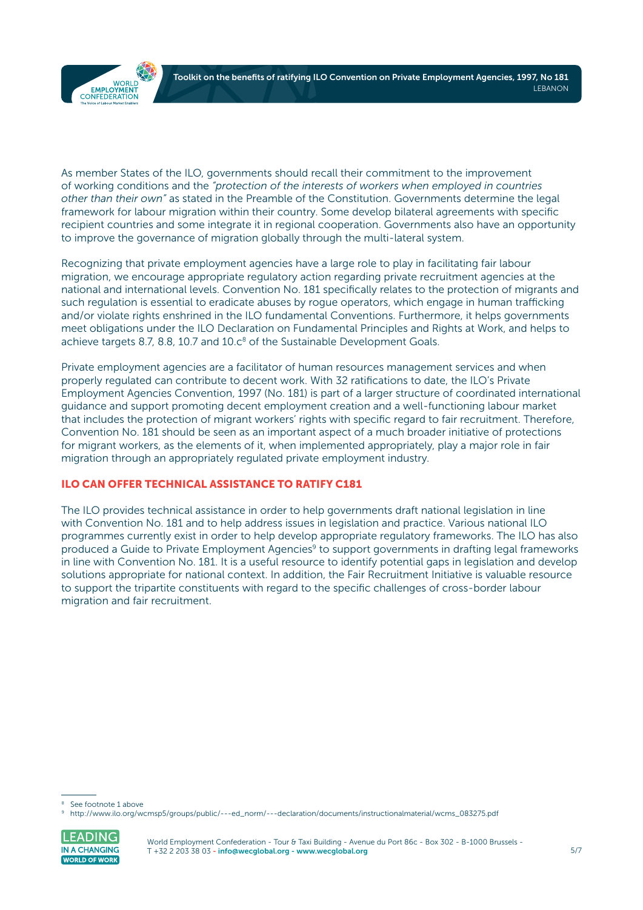

As member States of the ILO, governments should recall their commitment to the improvement of working conditions and the *"protection of the interests of workers when employed in countries other than their own"* as stated in the Preamble of the Constitution. Governments determine the legal framework for labour migration within their country. Some develop bilateral agreements with specific recipient countries and some integrate it in regional cooperation. Governments also have an opportunity to improve the governance of migration globally through the multi-lateral system.

Recognizing that private employment agencies have a large role to play in facilitating fair labour migration, we encourage appropriate regulatory action regarding private recruitment agencies at the national and international levels. Convention No. 181 specifically relates to the protection of migrants and such regulation is essential to eradicate abuses by rogue operators, which engage in human trafficking and/or violate rights enshrined in the ILO fundamental Conventions. Furthermore, it helps governments meet obligations under the ILO Declaration on Fundamental Principles and Rights at Work, and helps to achieve targets 8.7, 8.8, 10.7 and  $10.c<sup>8</sup>$  of the Sustainable Development Goals.

Private employment agencies are a facilitator of human resources management services and when properly regulated can contribute to decent work. With 32 ratifications to date, the ILO's Private Employment Agencies Convention, 1997 (No. 181) is part of a larger structure of coordinated international guidance and support promoting decent employment creation and a well-functioning labour market that includes the protection of migrant workers' rights with specific regard to fair recruitment. Therefore, Convention No. 181 should be seen as an important aspect of a much broader initiative of protections for migrant workers, as the elements of it, when implemented appropriately, play a major role in fair migration through an appropriately regulated private employment industry.

### ILO CAN OFFER TECHNICAL ASSISTANCE TO RATIFY C181

The ILO provides technical assistance in order to help governments draft national legislation in line with Convention No. 181 and to help address issues in legislation and practice. Various national ILO programmes currently exist in order to help develop appropriate regulatory frameworks. The ILO has also produced a Guide to Private Employment Agencies<sup>9</sup> to support governments in drafting legal frameworks in line with Convention No. 181. It is a useful resource to identify potential gaps in legislation and develop solutions appropriate for national context. In addition, the Fair Recruitment Initiative is valuable resource to support the tripartite constituents with regard to the specific challenges of cross-border labour migration and fair recruitment.

<sup>9</sup> [http://www.ilo.org/wcmsp5/groups/public/---ed\\_norm/---declaration/documents/instructionalmaterial/wcms\\_083275.pdf](http://www.ilo.org/wcmsp5/groups/public/---ed_norm/---declaration/documents/instructionalmaterial/wcms_083275.pdf)



See footnote 1 above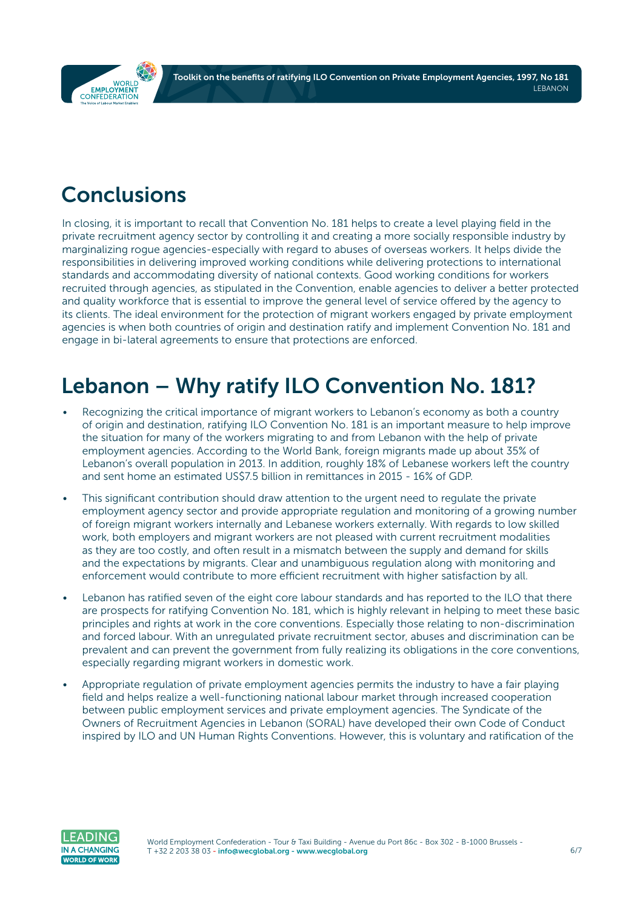Toolkit on the benefits of ratifying ILO Convention on Private Employment Agencies, 1997, No 181 **LEBANON** 

<span id="page-5-0"></span>

# Conclusions

In closing, it is important to recall that Convention No. 181 helps to create a level playing field in the private recruitment agency sector by controlling it and creating a more socially responsible industry by marginalizing rogue agencies-especially with regard to abuses of overseas workers. It helps divide the responsibilities in delivering improved working conditions while delivering protections to international standards and accommodating diversity of national contexts. Good working conditions for workers recruited through agencies, as stipulated in the Convention, enable agencies to deliver a better protected and quality workforce that is essential to improve the general level of service offered by the agency to its clients. The ideal environment for the protection of migrant workers engaged by private employment agencies is when both countries of origin and destination ratify and implement Convention No. 181 and engage in bi-lateral agreements to ensure that protections are enforced.

# Lebanon – Why ratify ILO Convention No. 181?

- Recognizing the critical importance of migrant workers to Lebanon's economy as both a country of origin and destination, ratifying ILO Convention No. 181 is an important measure to help improve the situation for many of the workers migrating to and from Lebanon with the help of private employment agencies. According to the World Bank, foreign migrants made up about 35% of Lebanon's overall population in 2013. In addition, roughly 18% of Lebanese workers left the country and sent home an estimated US\$7.5 billion in remittances in 2015 - 16% of GDP.
- This significant contribution should draw attention to the urgent need to regulate the private employment agency sector and provide appropriate regulation and monitoring of a growing number of foreign migrant workers internally and Lebanese workers externally. With regards to low skilled work, both employers and migrant workers are not pleased with current recruitment modalities as they are too costly, and often result in a mismatch between the supply and demand for skills and the expectations by migrants. Clear and unambiguous regulation along with monitoring and enforcement would contribute to more efficient recruitment with higher satisfaction by all.
- Lebanon has ratified seven of the eight core labour standards and has reported to the ILO that there are prospects for ratifying Convention No. 181, which is highly relevant in helping to meet these basic principles and rights at work in the core conventions. Especially those relating to non-discrimination and forced labour. With an unregulated private recruitment sector, abuses and discrimination can be prevalent and can prevent the government from fully realizing its obligations in the core conventions, especially regarding migrant workers in domestic work.
- Appropriate regulation of private employment agencies permits the industry to have a fair playing field and helps realize a well-functioning national labour market through increased cooperation between public employment services and private employment agencies. The Syndicate of the Owners of Recruitment Agencies in Lebanon (SORAL) have developed their own Code of Conduct inspired by ILO and UN Human Rights Conventions. However, this is voluntary and ratification of the